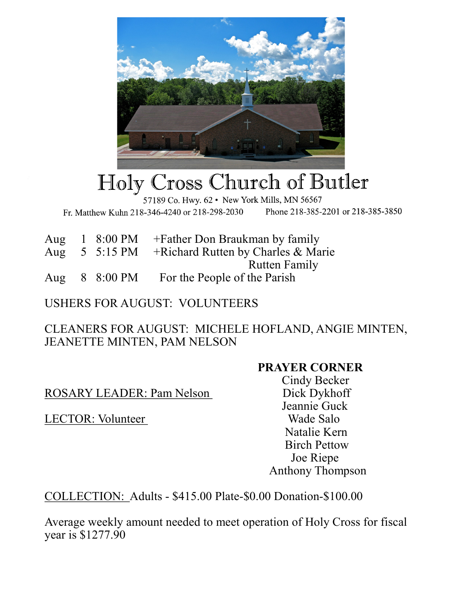

## Holy Cross Church of Butler

57189 Co. Hwy. 62 · New York Mills, MN 56567

Fr. Matthew Kuhn 218-346-4240 or 218-298-2030 Phone 218-385-2201 or 218-385-3850

|  |                    | Aug $1\,8:00\,$ PM + Father Don Braukman by family                |
|--|--------------------|-------------------------------------------------------------------|
|  |                    | Aug $5 \cdot 5:15 \text{ PM}$ + Richard Rutten by Charles & Marie |
|  |                    | <b>Rutten Family</b>                                              |
|  | Aug $8\,8:00\,$ PM | For the People of the Parish                                      |

USHERS FOR AUGUST: VOLUNTEERS

CLEANERS FOR AUGUST: MICHELE HOFLAND, ANGIE MINTEN, JEANETTE MINTEN, PAM NELSON

## **PRAYER CORNER**

ROSARY LEADER: Pam Nelson Dick Dykhoff

LECTOR: Volunteer Wade Salo

 Cindy Becker Jeannie Guck Natalie Kern Birch Pettow Joe Riepe Anthony Thompson

COLLECTION: Adults - \$415.00 Plate-\$0.00 Donation-\$100.00

Average weekly amount needed to meet operation of Holy Cross for fiscal year is \$1277.90